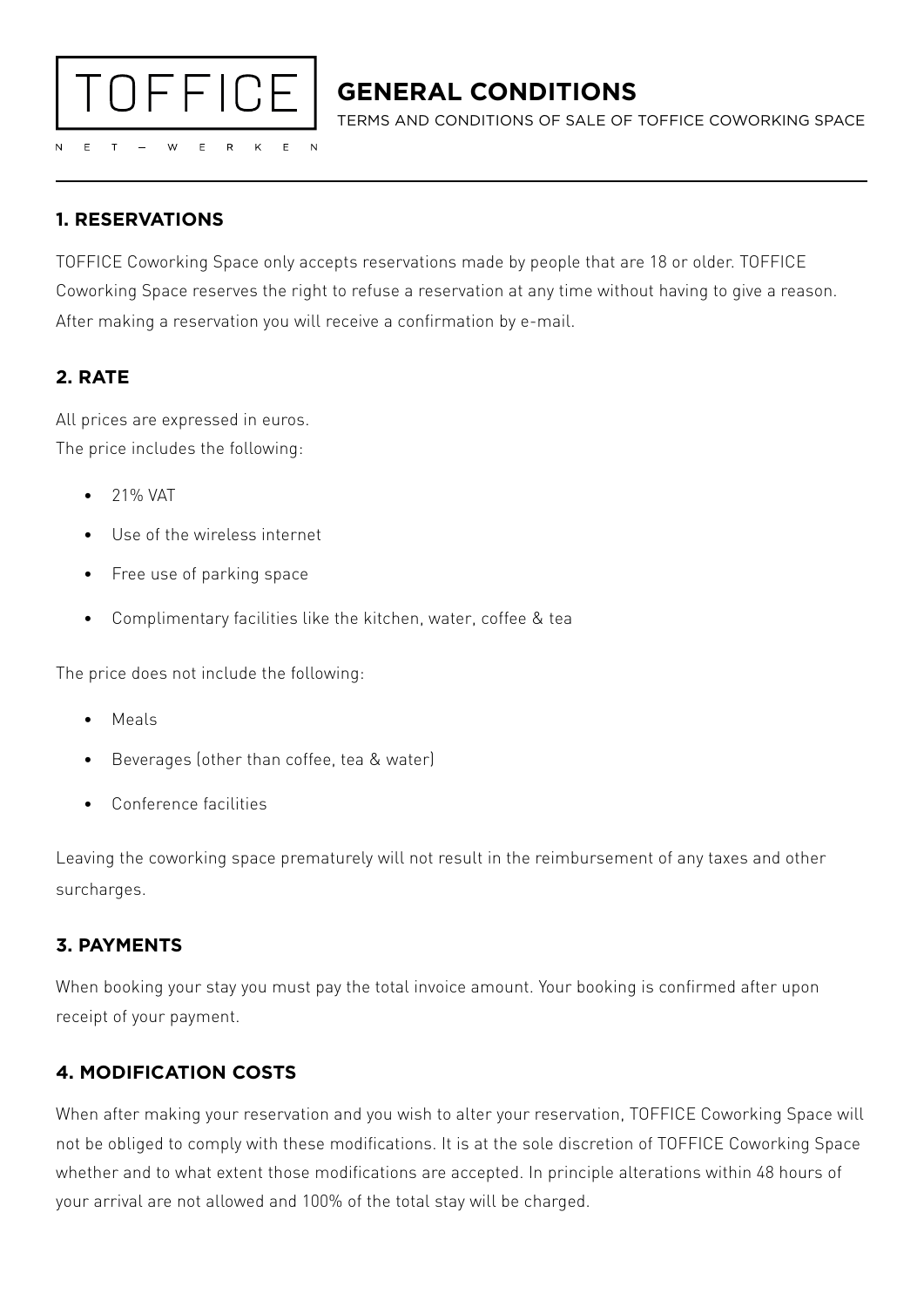

# **GENERAL CONDITIONS**

TERMS AND CONDITIONS OF SALE OF TOFFICE COWORKING SPACE

## **1. RESERVATIONS**

TOFFICE Coworking Space only accepts reservations made by people that are 18 or older. TOFFICE Coworking Space reserves the right to refuse a reservation at any time without having to give a reason. After making a reservation you will receive a confirmation by e-mail.

# **2. RATE**

All prices are expressed in euros. The price includes the following:

- 21% VAT
- Use of the wireless internet
- Free use of parking space
- Complimentary facilities like the kitchen, water, coffee & tea

The price does not include the following:

- Meals
- Beverages (other than coffee, tea & water)
- Conference facilities

Leaving the coworking space prematurely will not result in the reimbursement of any taxes and other surcharges.

#### **3. PAYMENTS**

When booking your stay you must pay the total invoice amount. Your booking is confirmed after upon receipt of your payment.

# **4. MODIFICATION COSTS**

When after making your reservation and you wish to alter your reservation, TOFFICE Coworking Space will not be obliged to comply with these modifications. It is at the sole discretion of TOFFICE Coworking Space whether and to what extent those modifications are accepted. In principle alterations within 48 hours of your arrival are not allowed and 100% of the total stay will be charged.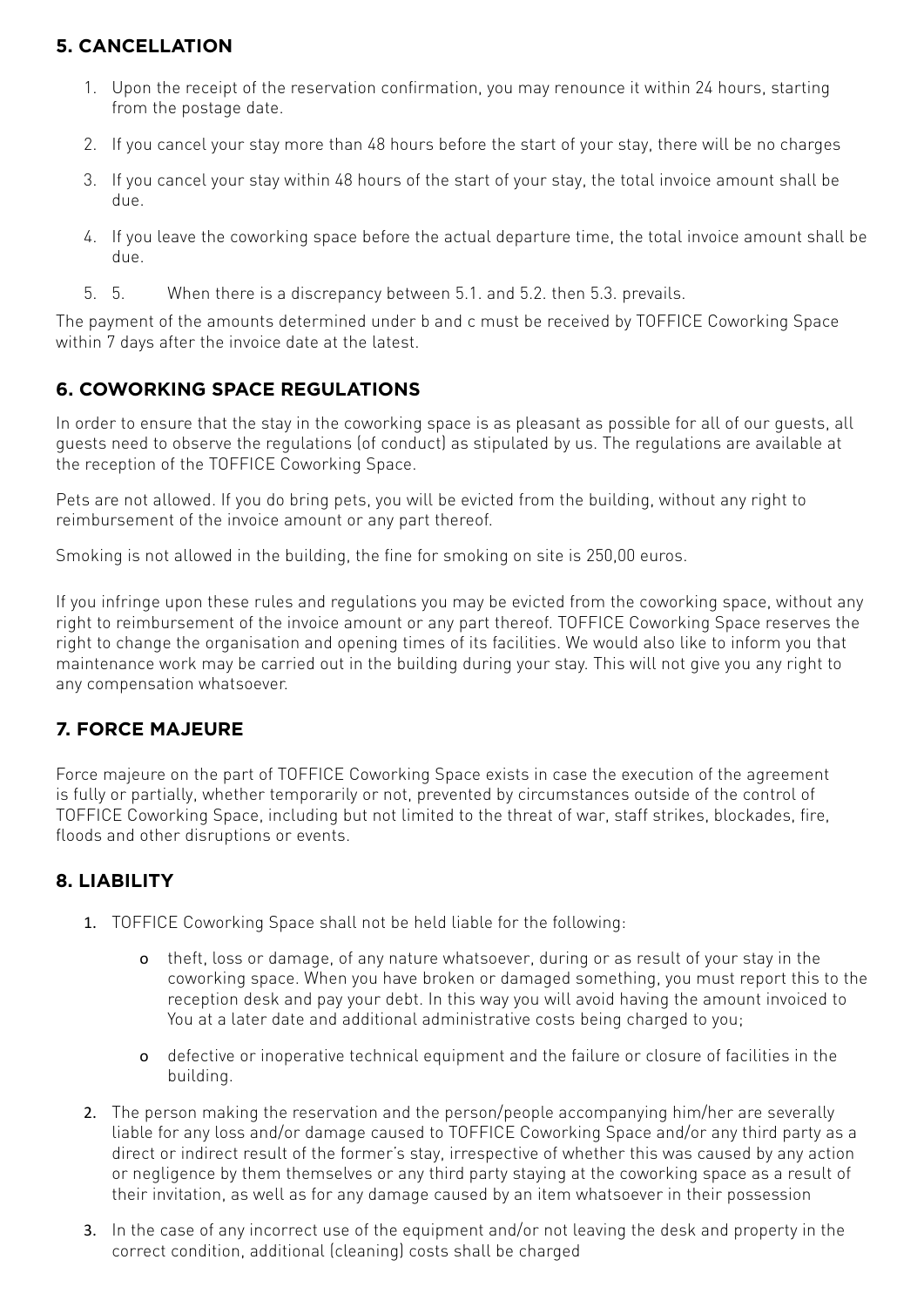### **5. CANCELLATION**

- 1. Upon the receipt of the reservation confirmation, you may renounce it within 24 hours, starting from the postage date.
- 2. If you cancel your stay more than 48 hours before the start of your stay, there will be no charges
- 3. If you cancel your stay within 48 hours of the start of your stay, the total invoice amount shall be due.
- 4. If you leave the coworking space before the actual departure time, the total invoice amount shall be due.
- 5. 5. When there is a discrepancy between 5.1. and 5.2. then 5.3. prevails.

The payment of the amounts determined under b and c must be received by TOFFICE Coworking Space within 7 days after the invoice date at the latest.

#### **6. COWORKING SPACE REGULATIONS**

In order to ensure that the stay in the coworking space is as pleasant as possible for all of our guests, all guests need to observe the regulations (of conduct) as stipulated by us. The regulations are available at the reception of the TOFFICE Coworking Space.

Pets are not allowed. If you do bring pets, you will be evicted from the building, without any right to reimbursement of the invoice amount or any part thereof.

Smoking is not allowed in the building, the fine for smoking on site is 250,00 euros.

If you infringe upon these rules and regulations you may be evicted from the coworking space, without any right to reimbursement of the invoice amount or any part thereof. TOFFICE Coworking Space reserves the right to change the organisation and opening times of its facilities. We would also like to inform you that maintenance work may be carried out in the building during your stay. This will not give you any right to any compensation whatsoever.

#### **7. FORCE MAJEURE**

Force majeure on the part of TOFFICE Coworking Space exists in case the execution of the agreement is fully or partially, whether temporarily or not, prevented by circumstances outside of the control of TOFFICE Coworking Space, including but not limited to the threat of war, staff strikes, blockades, fire, floods and other disruptions or events.

#### **8. LIABILITY**

- 1. TOFFICE Coworking Space shall not be held liable for the following:
	- o theft, loss or damage, of any nature whatsoever, during or as result of your stay in the coworking space. When you have broken or damaged something, you must report this to the reception desk and pay your debt. In this way you will avoid having the amount invoiced to You at a later date and additional administrative costs being charged to you;
	- o defective or inoperative technical equipment and the failure or closure of facilities in the building.
- 2. The person making the reservation and the person/people accompanying him/her are severally liable for any loss and/or damage caused to TOFFICE Coworking Space and/or any third party as a direct or indirect result of the former's stay, irrespective of whether this was caused by any action or negligence by them themselves or any third party staying at the coworking space as a result of their invitation, as well as for any damage caused by an item whatsoever in their possession
- 3. In the case of any incorrect use of the equipment and/or not leaving the desk and property in the correct condition, additional (cleaning) costs shall be charged